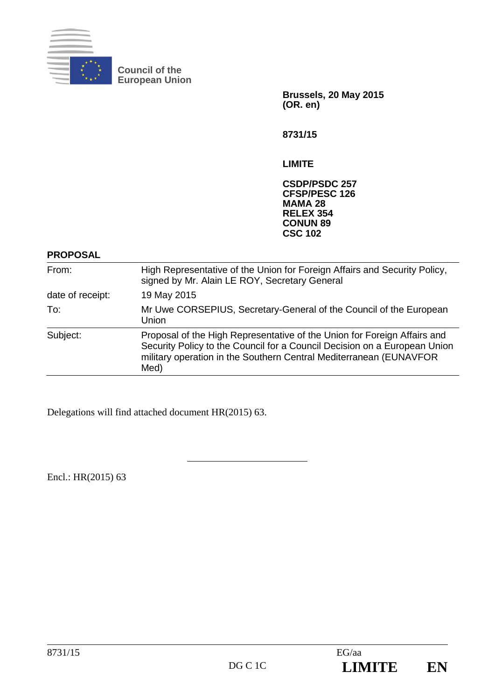

**Council of the European Union** 

> **Brussels, 20 May 2015 (OR. en)**

**8731/15** 

**LIMITE** 

**CSDP/PSDC 257 CFSP/PESC 126 MAMA 28 RELEX 354 CONUN 89 CSC 102**

### **PROPOSAL**

| From:            | High Representative of the Union for Foreign Affairs and Security Policy,<br>signed by Mr. Alain LE ROY, Secretary General                                                                                                          |
|------------------|-------------------------------------------------------------------------------------------------------------------------------------------------------------------------------------------------------------------------------------|
| date of receipt: | 19 May 2015                                                                                                                                                                                                                         |
| To:              | Mr Uwe CORSEPIUS, Secretary-General of the Council of the European<br>Union                                                                                                                                                         |
| Subject:         | Proposal of the High Representative of the Union for Foreign Affairs and<br>Security Policy to the Council for a Council Decision on a European Union<br>military operation in the Southern Central Mediterranean (EUNAVFOR<br>Med) |

Delegations will find attached document HR(2015) 63.

Encl.: HR(2015) 63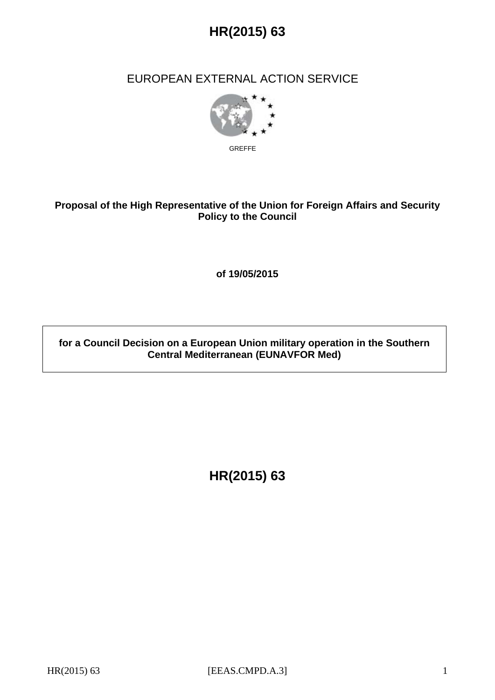

## EUROPEAN EXTERNAL ACTION SERVICE



GREFFE

## **Proposal of the High Representative of the Union for Foreign Affairs and Security Policy to the Council**

**of 19/05/2015** 

## **for a Council Decision on a European Union military operation in the Southern Central Mediterranean (EUNAVFOR Med)**

**HR(2015) 63**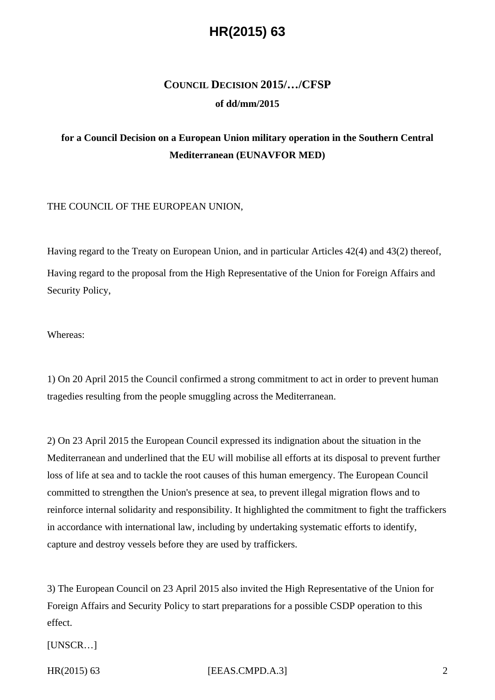## **COUNCIL DECISION 2015/…/CFSP of dd/mm/2015**

## **for a Council Decision on a European Union military operation in the Southern Central Mediterranean (EUNAVFOR MED)**

#### THE COUNCIL OF THE EUROPEAN UNION,

Having regard to the Treaty on European Union, and in particular Articles 42(4) and 43(2) thereof, Having regard to the proposal from the High Representative of the Union for Foreign Affairs and Security Policy,

Whereas:

1) On 20 April 2015 the Council confirmed a strong commitment to act in order to prevent human tragedies resulting from the people smuggling across the Mediterranean.

2) On 23 April 2015 the European Council expressed its indignation about the situation in the Mediterranean and underlined that the EU will mobilise all efforts at its disposal to prevent further loss of life at sea and to tackle the root causes of this human emergency. The European Council committed to strengthen the Union's presence at sea, to prevent illegal migration flows and to reinforce internal solidarity and responsibility. It highlighted the commitment to fight the traffickers in accordance with international law, including by undertaking systematic efforts to identify, capture and destroy vessels before they are used by traffickers.

3) The European Council on 23 April 2015 also invited the High Representative of the Union for Foreign Affairs and Security Policy to start preparations for a possible CSDP operation to this effect.

[UNSCR…]

#### HR(2015) 63 **IEEAS.CMPD.A.3 2**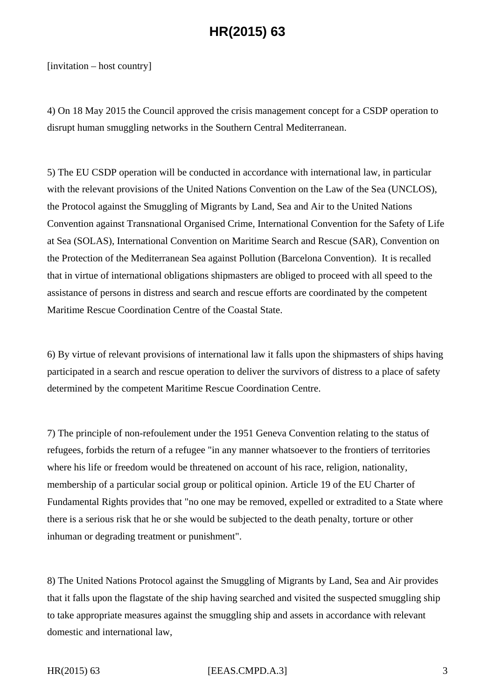[invitation – host country]

4) On 18 May 2015 the Council approved the crisis management concept for a CSDP operation to disrupt human smuggling networks in the Southern Central Mediterranean.

5) The EU CSDP operation will be conducted in accordance with international law, in particular with the relevant provisions of the United Nations Convention on the Law of the Sea (UNCLOS), the Protocol against the Smuggling of Migrants by Land, Sea and Air to the United Nations Convention against Transnational Organised Crime, International Convention for the Safety of Life at Sea (SOLAS), International Convention on Maritime Search and Rescue (SAR), Convention on the Protection of the Mediterranean Sea against Pollution (Barcelona Convention). It is recalled that in virtue of international obligations shipmasters are obliged to proceed with all speed to the assistance of persons in distress and search and rescue efforts are coordinated by the competent Maritime Rescue Coordination Centre of the Coastal State.

6) By virtue of relevant provisions of international law it falls upon the shipmasters of ships having participated in a search and rescue operation to deliver the survivors of distress to a place of safety determined by the competent Maritime Rescue Coordination Centre.

7) The principle of non-refoulement under the 1951 Geneva Convention relating to the status of refugees, forbids the return of a refugee "in any manner whatsoever to the frontiers of territories where his life or freedom would be threatened on account of his race, religion, nationality, membership of a particular social group or political opinion. Article 19 of the EU Charter of Fundamental Rights provides that "no one may be removed, expelled or extradited to a State where there is a serious risk that he or she would be subjected to the death penalty, torture or other inhuman or degrading treatment or punishment".

8) The United Nations Protocol against the Smuggling of Migrants by Land, Sea and Air provides that it falls upon the flagstate of the ship having searched and visited the suspected smuggling ship to take appropriate measures against the smuggling ship and assets in accordance with relevant domestic and international law,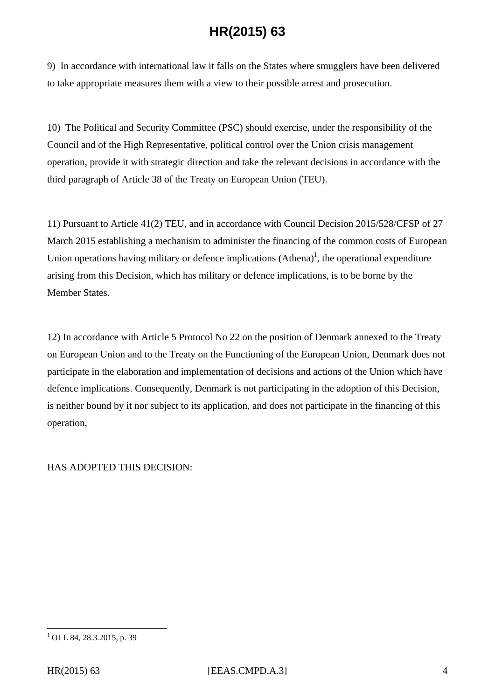9) In accordance with international law it falls on the States where smugglers have been delivered to take appropriate measures them with a view to their possible arrest and prosecution.

10) The Political and Security Committee (PSC) should exercise, under the responsibility of the Council and of the High Representative, political control over the Union crisis management operation, provide it with strategic direction and take the relevant decisions in accordance with the third paragraph of Article 38 of the Treaty on European Union (TEU).

11) Pursuant to Article 41(2) TEU, and in accordance with Council Decision 2015/528/CFSP of 27 March 2015 establishing a mechanism to administer the financing of the common costs of European Union operations having military or defence implications  $(Athena)^{1}$ , the operational expenditure arising from this Decision, which has military or defence implications, is to be borne by the Member States.

12) In accordance with Article 5 Protocol No 22 on the position of Denmark annexed to the Treaty on European Union and to the Treaty on the Functioning of the European Union, Denmark does not participate in the elaboration and implementation of decisions and actions of the Union which have defence implications. Consequently, Denmark is not participating in the adoption of this Decision, is neither bound by it nor subject to its application, and does not participate in the financing of this operation,

HAS ADOPTED THIS DECISION:

 $\overline{a}$ 

 $1$  OJ L 84, 28.3.2015, p. 39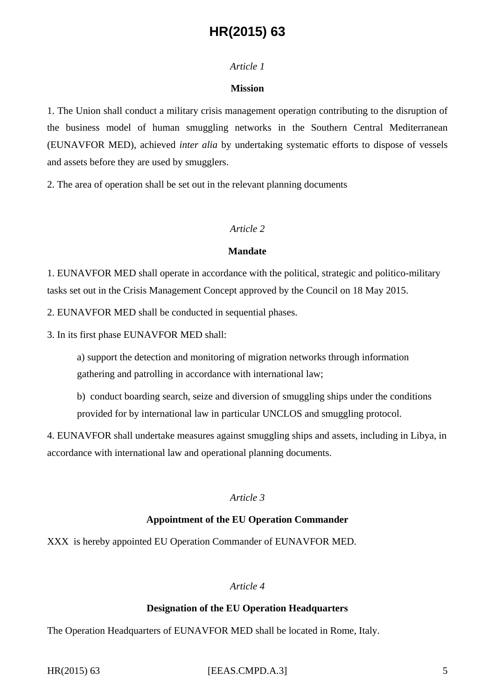#### *Article 1*

#### **Mission**

1. The Union shall conduct a military crisis management operation contributing to the disruption of the business model of human smuggling networks in the Southern Central Mediterranean (EUNAVFOR MED), achieved *inter alia* by undertaking systematic efforts to dispose of vessels and assets before they are used by smugglers.

2. The area of operation shall be set out in the relevant planning documents

#### *Article 2*

#### **Mandate**

1. EUNAVFOR MED shall operate in accordance with the political, strategic and politico-military tasks set out in the Crisis Management Concept approved by the Council on 18 May 2015.

2. EUNAVFOR MED shall be conducted in sequential phases.

3. In its first phase EUNAVFOR MED shall:

a) support the detection and monitoring of migration networks through information gathering and patrolling in accordance with international law;

b) conduct boarding search, seize and diversion of smuggling ships under the conditions provided for by international law in particular UNCLOS and smuggling protocol.

4. EUNAVFOR shall undertake measures against smuggling ships and assets, including in Libya, in accordance with international law and operational planning documents.

### *Article 3*

#### **Appointment of the EU Operation Commander**

XXX is hereby appointed EU Operation Commander of EUNAVFOR MED.

## *Article 4*

#### **Designation of the EU Operation Headquarters**

The Operation Headquarters of EUNAVFOR MED shall be located in Rome, Italy.

HR(2015) 63 **IEEAS.CMPD.A.3 5**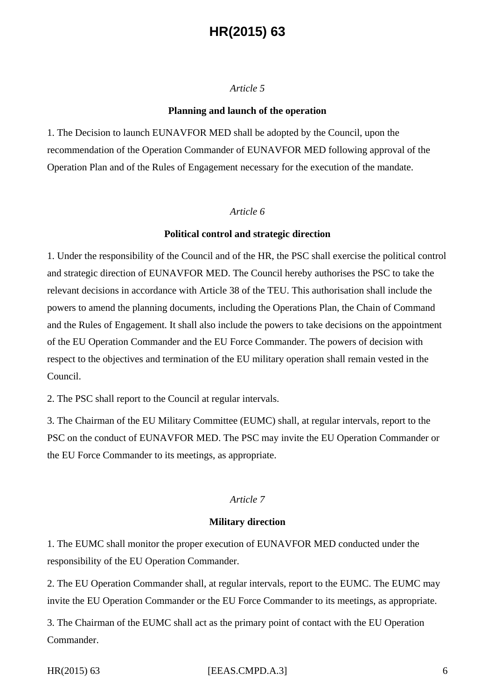### *Article 5*

#### **Planning and launch of the operation**

1. The Decision to launch EUNAVFOR MED shall be adopted by the Council, upon the recommendation of the Operation Commander of EUNAVFOR MED following approval of the Operation Plan and of the Rules of Engagement necessary for the execution of the mandate.

#### *Article 6*

#### **Political control and strategic direction**

1. Under the responsibility of the Council and of the HR, the PSC shall exercise the political control and strategic direction of EUNAVFOR MED. The Council hereby authorises the PSC to take the relevant decisions in accordance with Article 38 of the TEU. This authorisation shall include the powers to amend the planning documents, including the Operations Plan, the Chain of Command and the Rules of Engagement. It shall also include the powers to take decisions on the appointment of the EU Operation Commander and the EU Force Commander. The powers of decision with respect to the objectives and termination of the EU military operation shall remain vested in the Council.

2. The PSC shall report to the Council at regular intervals.

3. The Chairman of the EU Military Committee (EUMC) shall, at regular intervals, report to the PSC on the conduct of EUNAVFOR MED. The PSC may invite the EU Operation Commander or the EU Force Commander to its meetings, as appropriate.

#### *Article 7*

#### **Military direction**

1. The EUMC shall monitor the proper execution of EUNAVFOR MED conducted under the responsibility of the EU Operation Commander.

2. The EU Operation Commander shall, at regular intervals, report to the EUMC. The EUMC may invite the EU Operation Commander or the EU Force Commander to its meetings, as appropriate.

3. The Chairman of the EUMC shall act as the primary point of contact with the EU Operation Commander.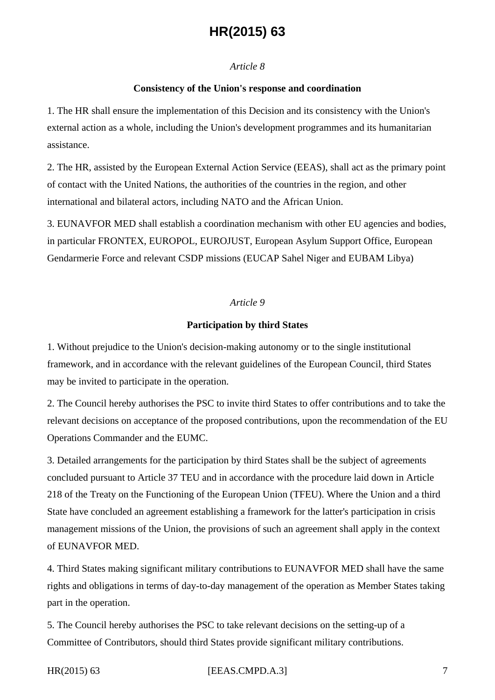#### *Article 8*

#### **Consistency of the Union's response and coordination**

1. The HR shall ensure the implementation of this Decision and its consistency with the Union's external action as a whole, including the Union's development programmes and its humanitarian assistance.

2. The HR, assisted by the European External Action Service (EEAS), shall act as the primary point of contact with the United Nations, the authorities of the countries in the region, and other international and bilateral actors, including NATO and the African Union.

3. EUNAVFOR MED shall establish a coordination mechanism with other EU agencies and bodies, in particular FRONTEX, EUROPOL, EUROJUST, European Asylum Support Office, European Gendarmerie Force and relevant CSDP missions (EUCAP Sahel Niger and EUBAM Libya)

#### *Article 9*

#### **Participation by third States**

1. Without prejudice to the Union's decision-making autonomy or to the single institutional framework, and in accordance with the relevant guidelines of the European Council, third States may be invited to participate in the operation.

2. The Council hereby authorises the PSC to invite third States to offer contributions and to take the relevant decisions on acceptance of the proposed contributions, upon the recommendation of the EU Operations Commander and the EUMC.

3. Detailed arrangements for the participation by third States shall be the subject of agreements concluded pursuant to Article 37 TEU and in accordance with the procedure laid down in Article 218 of the Treaty on the Functioning of the European Union (TFEU). Where the Union and a third State have concluded an agreement establishing a framework for the latter's participation in crisis management missions of the Union, the provisions of such an agreement shall apply in the context of EUNAVFOR MED.

4. Third States making significant military contributions to EUNAVFOR MED shall have the same rights and obligations in terms of day-to-day management of the operation as Member States taking part in the operation.

5. The Council hereby authorises the PSC to take relevant decisions on the setting-up of a Committee of Contributors, should third States provide significant military contributions.

HR(2015) 63 **IEEAS.CMPD.A.3 7**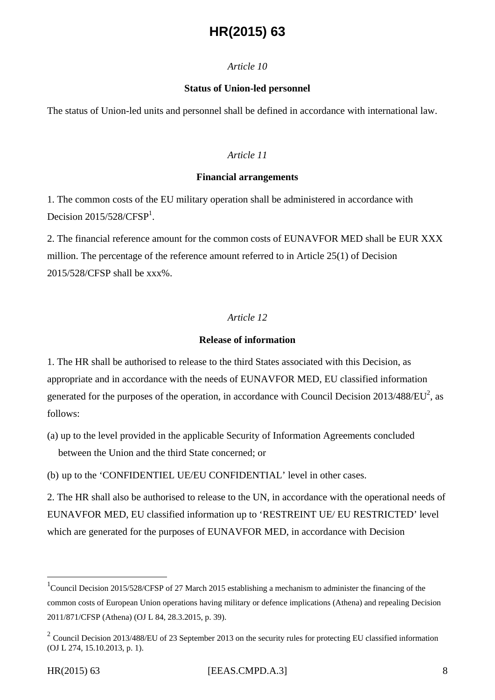#### *Article 10*

#### **Status of Union-led personnel**

The status of Union-led units and personnel shall be defined in accordance with international law.

### *Article 11*

#### **Financial arrangements**

1. The common costs of the EU military operation shall be administered in accordance with Decision  $2015/528/CFSP<sup>1</sup>$ .

2. The financial reference amount for the common costs of EUNAVFOR MED shall be EUR XXX million. The percentage of the reference amount referred to in Article 25(1) of Decision 2015/528/CFSP shall be xxx%.

### *Article 12*

#### **Release of information**

1. The HR shall be authorised to release to the third States associated with this Decision, as appropriate and in accordance with the needs of EUNAVFOR MED, EU classified information generated for the purposes of the operation, in accordance with Council Decision  $2013/488/EU^2$ , as follows:

(a) up to the level provided in the applicable Security of Information Agreements concluded between the Union and the third State concerned; or

(b) up to the 'CONFIDENTIEL UE/EU CONFIDENTIAL' level in other cases.

2. The HR shall also be authorised to release to the UN, in accordance with the operational needs of EUNAVFOR MED, EU classified information up to 'RESTREINT UE/ EU RESTRICTED' level which are generated for the purposes of EUNAVFOR MED, in accordance with Decision

 $\overline{a}$ 

<sup>&</sup>lt;sup>1</sup>Council Decision 2015/528/CFSP of 27 March 2015 establishing a mechanism to administer the financing of the common costs of European Union operations having military or defence implications (Athena) and repealing Decision 2011/871/CFSP (Athena) (OJ L 84, 28.3.2015, p. 39).

 $2$  Council Decision 2013/488/EU of 23 September 2013 on the security rules for protecting EU classified information (OJ L 274, 15.10.2013, p. 1).